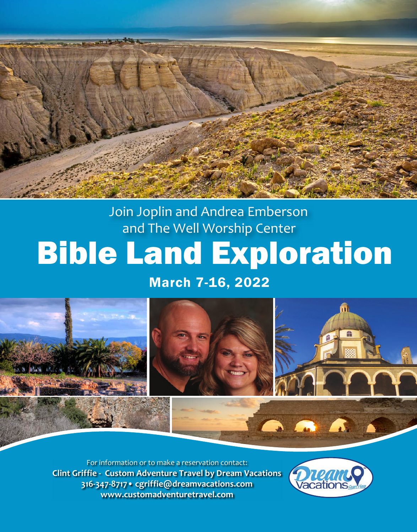

Join Joplin and Andrea Emberson and The Well Worship Center

# Bible Land Exploration

## March 7-16, 2022



For information or to make a reservation contact: **Clint Griffie - Custom Adventure Travel by Dream Vacations 316-347-8717• cgriffie@dreamvacations.com www.customadventuretravel.com**

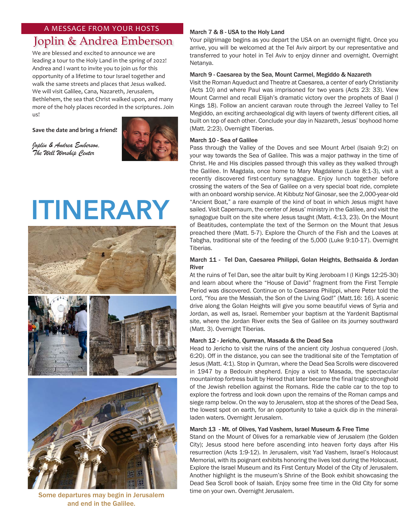## A MESSAGE FROM YOUR HOSTS

# Joplin & Andrea Emberson

We are blessed and excited to announce we are leading a tour to the Holy Land in the spring of 2022! Andrea and I want to invite you to join us for this opportunity of a lifetime to tour Israel together and walk the same streets and places that Jesus walked. We will visit Galilee, Cana, Nazareth, Jerusalem, Bethlehem, the sea that Christ walked upon, and many more of the holy places recorded in the scriptures. Join us!

**Save the date and bring a friend!**



*Joplin & Andrea Emberson, The Well Worship Center*

# **ITINERARY**



Some departures may begin in Jerusalem and end in the Galilee.

## March 7 & 8 - USA to the Holy Land

Your pilgrimage begins as you depart the USA on an overnight flight. Once you arrive, you will be welcomed at the Tel Aviv airport by our representative and transferred to your hotel in Tel Aviv to enjoy dinner and overnight. Overnight Netanya.

### March 9 - Caesarea by the Sea, Mount Carmel, Megiddo & Nazareth

Visit the Roman Aqueduct and Theatre at Caesarea, a center of early Christianity (Acts 10) and where Paul was imprisoned for two years (Acts 23: 33). View Mount Carmel and recall Elijah's dramatic victory over the prophets of Baal (I Kings 18). Follow an ancient caravan route through the Jezreel Valley to Tel Megiddo, an exciting archaeological dig with layers of twenty different cities, all built on top of each other. Conclude your day in Nazareth, Jesus' boyhood home (Matt. 2:23). Overnight Tiberias.

#### March 10 - Sea of Galilee

Pass through the Valley of the Doves and see Mount Arbel (Isaiah 9:2) on your way towards the Sea of Galilee. This was a major pathway in the time of Christ. He and His disciples passed through this valley as they walked through the Galilee. In Magdala, once home to Mary Magdalene (Luke 8:1-3), visit a recently discovered first-century synagogue. Enjoy lunch together before crossing the waters of the Sea of Galilee on a very special boat ride, complete with an onboard worship service. At Kibbutz Nof Ginosar, see the 2,000-year-old "Ancient Boat," a rare example of the kind of boat in which Jesus might have sailed. Visit Capernaum, the center of Jesus' ministry in the Galilee, and visit the synagogue built on the site where Jesus taught (Matt. 4:13, 23). On the Mount of Beatitudes, contemplate the text of the Sermon on the Mount that Jesus preached there (Matt. 5-7). Explore the Church of the Fish and the Loaves at Tabgha, traditional site of the feeding of the 5,000 (Luke 9:10-17). Overnight Tiberias.

## March 11 - Tel Dan, Caesarea Philippi, Golan Heights, Bethsaida & Jordan River

At the ruins of Tel Dan, see the altar built by King Jeroboam I (I Kings 12:25-30) and learn about where the "House of David" fragment from the First Temple Period was discovered. Continue on to Caesarea Philippi, where Peter told the Lord, "You are the Messiah, the Son of the Living God!" (Matt.16: 16). A scenic drive along the Golan Heights will give you some beautiful views of Syria and Jordan, as well as, Israel. Remember your baptism at the Yardenit Baptismal site, where the Jordan River exits the Sea of Galilee on its journey southward (Matt. 3). Overnight Tiberias.

#### March 12 - Jericho, Qumran, Masada & the Dead Sea

Head to Jericho to visit the ruins of the ancient city Joshua conquered (Josh. 6:20). Off in the distance, you can see the traditional site of the Temptation of Jesus (Matt. 4:1). Stop in Qumran, where the Dead Sea Scrolls were discovered in 1947 by a Bedouin shepherd. Enjoy a visit to Masada, the spectacular mountaintop fortress built by Herod that later became the final tragic stronghold of the Jewish rebellion against the Romans. Ride the cable car to the top to explore the fortress and look down upon the remains of the Roman camps and siege ramp below. On the way to Jerusalem, stop at the shores of the Dead Sea, the lowest spot on earth, for an opportunity to take a quick dip in the mineralladen waters. Overnight Jerusalem.

#### March 13 - Mt. of Olives, Yad Vashem, Israel Museum & Free Time

Stand on the Mount of Olives for a remarkable view of Jerusalem (the Golden City); Jesus stood here before ascending into heaven forty days after His resurrection (Acts 1:9-12). In Jerusalem, visit Yad Vashem, Israel's Holocaust Memorial, with its poignant exhibits honoring the lives lost during the Holocaust. Explore the Israel Museum and its First Century Model of the City of Jerusalem. Another highlight is the museum's Shrine of the Book exhibit showcasing the Dead Sea Scroll book of Isaiah. Enjoy some free time in the Old City for some time on your own. Overnight Jerusalem.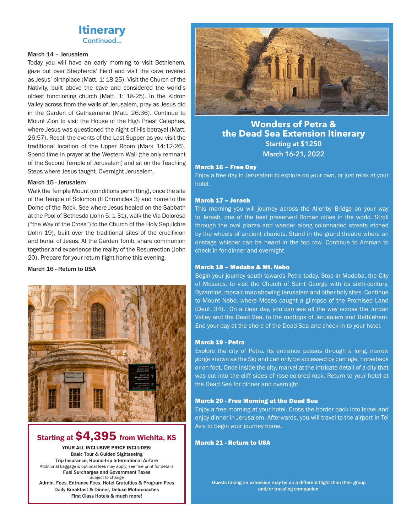

#### March 14 – Jerusalem

Today you will have an early morning to visit Bethlehem, gaze out over Shepherds' Field and visit the cave revered as Jesus' birthplace (Matt. 1: 18-25). Visit the Church of the Nativity, built above the cave and considered the world's oldest functioning church (Matt. 1: 18-25). In the Kidron Valley across from the walls of Jerusalem, pray as Jesus did in the Garden of Gethsemane (Matt. 26:36). Continue to Mount Zion to visit the House of the High Priest Caiaphas, where Jesus was questioned the night of His betrayal (Matt. 26:57). Recall the events of the Last Supper as you visit the traditional location of the Upper Room (Mark 14:12-26). Spend time in prayer at the Western Wall (the only remnant of the Second Temple of Jerusalem) and sit on the Teaching Steps where Jesus taught. Overnight Jerusalem.

#### March 15 - Jerusalem

Walk the Temple Mount (conditions permitting), once the site of the Temple of Solomon (II Chronicles 3) and home to the Dome of the Rock. See where Jesus healed on the Sabbath at the Pool of Bethesda (John 5: 1-31), walk the Via Dolorosa ("the Way of the Cross") to the Church of the Holy Sepulchre (John 19), built over the traditional sites of the crucifixion and burial of Jesus. At the Garden Tomb, share communion together and experience the reality of the Resurrection (John 20). Prepare for your return flight home this evening.

#### March 16 - Return to USA



## Starting at \$4,395 from Wichita, KS

YOUR ALL INCLUSIVE PRICE INCLUDES: Basic Tour & Guided Sightseeing Trip Insurance, Round-trip International Airfare Additional baggage & optional fees may apply; see fine print for details Fuel Surcharges and Government Taxes Subject to change Admin. Fees, Entrance Fees, Hotel Gratuities & Program Fees Daily Breakfast & Dinner, Deluxe Motorcoaches First Class Hotels & much more!



## **Wonders of Petra & the Dead Sea Extension Itinerary Starting at \$1250 March 16-21, 2022**

#### March 16 – Free Day

Enjoy a free day in Jerusalem to explore on your own, or just relax at your hotel.

#### March 17 – Jerash

This morning you will journey across the Allenby Bridge on your way to Jerash, one of the best preserved Roman cities in the world. Stroll through the oval piazza and wander along colonnaded streets etched by the wheels of ancient chariots. Stand in the grand theatre where an onstage whisper can be heard in the top row. Continue to Amman to check in for dinner and overnight.

#### March 18 – Madaba & Mt. Nebo

Begin your journey south towards Petra today. Stop in Madaba, the City of Mosaics, to visit the Church of Saint George with its sixth-century, Byzantine, mosaic map showing Jerusalem and other holy sites. Continue to Mount Nebo, where Moses caught a glimpse of the Promised Land (Deut. 34). On a clear day, you can see all the way across the Jordan Valley and the Dead Sea, to the rooftops of Jerusalem and Bethlehem. End your day at the shore of the Dead Sea and check in to your hotel.

#### March 19 - Petra

Explore the city of Petra. Its entrance passes through a long, narrow gorge known as the Siq and can only be accessed by carriage, horseback or on foot. Once inside the city, marvel at the intricate detail of a city that was cut into the cliff sides of rose-colored rock. Return to your hotel at the Dead Sea for dinner and overnight.

#### March 20 - Free Morning at the Dead Sea

Enjoy a free morning at your hotel. Cross the border back into Israel and enjoy dinner in Jerusalem. Afterwards, you will travel to the airport in Tel Aviv to begin your journey home.

#### March 21 - Return to USA

Guests taking an extension may be on a different flight than their group and/or traveling companion.